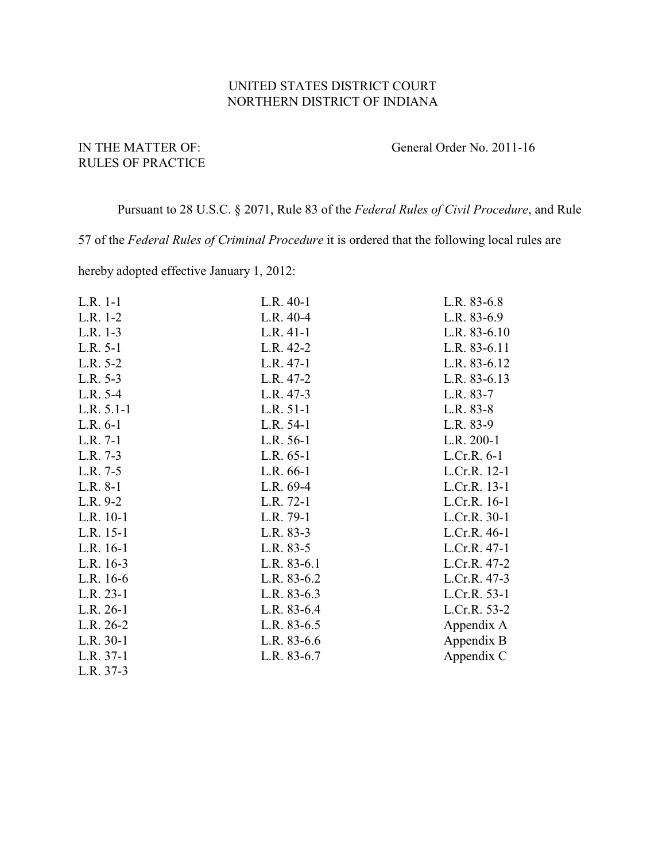## UNITED STATES DISTRICT COURT NORTHERN DISTRICT OF INDIANA

## RULES OF PRACTICE

## IN THE MATTER OF: General Order No. 2011-16

Pursuant to 28 U.S.C. § 2071, Rule 83 of the *Federal Rules of Civil Procedure*, and Rule

57 of the *Federal Rules of Criminal Procedure* it is ordered that the following local rules are

hereby adopted effective January 1, 2012:

| L.R. 1-1     | L.R. 40-1     | L.R. 83-6.8  |
|--------------|---------------|--------------|
| L.R. 1-2     | L.R. 40-4     | L.R. 83-6.9  |
| $L.R. 1-3$   | $L.R. 41-1$   | L.R. 83-6.10 |
| L.R. 5-1     | L.R. 42-2     | L.R. 83-6.11 |
| L.R. 5-2     | L.R. 47-1     | L.R. 83-6.12 |
| L.R. 5-3     | L.R. 47-2     | L.R. 83-6.13 |
| L.R. 5-4     | L.R. 47-3     | L.R. 83-7    |
| $L.R. 5.1-1$ | L.R. 51-1     | L.R. 83-8    |
| $L.R. 6-1$   | L.R. 54-1     | L.R. 83-9    |
| L.R. 7-1     | L.R. 56-1     | L.R. 200-1   |
| L.R. 7-3     | L.R. 65-1     | L.Cr.R. 6-1  |
| L.R. 7-5     | L.R. 66-1     | L.Cr.R. 12-1 |
| $L.R. 8-1$   | L.R. 69-4     | L.Cr.R. 13-1 |
| L.R. 9-2     | L.R. 72-1     | L.Cr.R. 16-1 |
| L.R. 10-1    | L.R. 79-1     | L.Cr.R. 30-1 |
| L.R. 15-1    | L.R. 83-3     | L.Cr.R. 46-1 |
| L.R. 16-1    | L.R. 83-5     | L.Cr.R. 47-1 |
| L.R. $16-3$  | L.R. $83-6.1$ | L.Cr.R. 47-2 |
| L.R. $16-6$  | L.R. 83-6.2   | L.Cr.R. 47-3 |
| $L.R. 23-1$  | L.R. 83-6.3   | L.Cr.R. 53-1 |
| $L.R. 26-1$  | L.R. 83-6.4   | L.Cr.R. 53-2 |
| L.R. 26-2    | L.R. 83-6.5   | Appendix A   |
| $L.R. 30-1$  | L.R. $83-6.6$ | Appendix B   |
| L.R. 37-1    | L.R. 83-6.7   | Appendix C   |
| L.R. 37-3    |               |              |